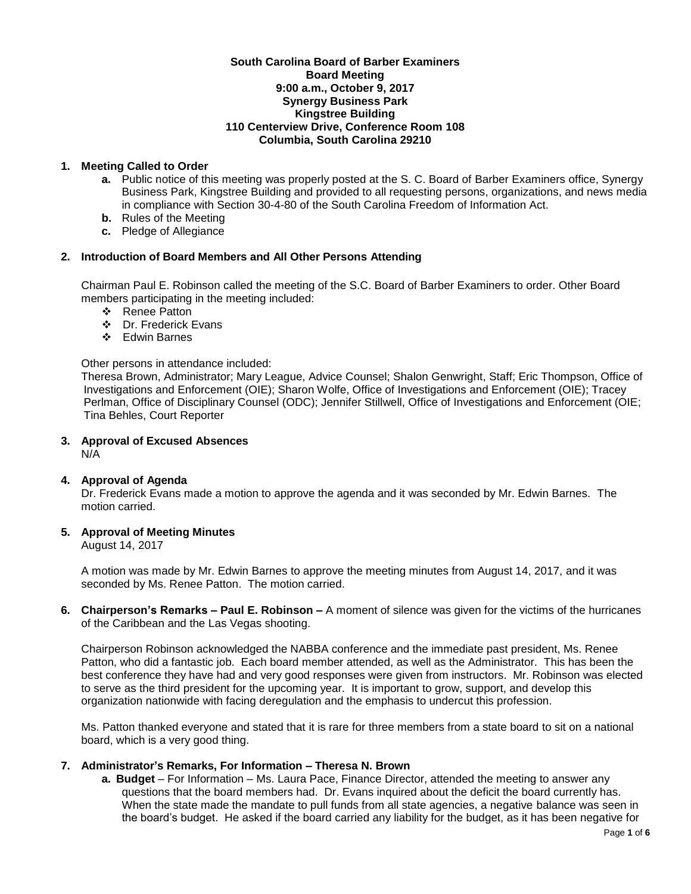#### **South Carolina Board of Barber Examiners Board Meeting 9:00 a.m., October 9, 2017 Synergy Business Park Kingstree Building 110 Centerview Drive, Conference Room 108 Columbia, South Carolina 29210**

# **1. Meeting Called to Order**

- **a.** Public notice of this meeting was properly posted at the S. C. Board of Barber Examiners office, Synergy Business Park, Kingstree Building and provided to all requesting persons, organizations, and news media in compliance with Section 30-4-80 of the South Carolina Freedom of Information Act.
- **b.** Rules of the Meeting
- **c.** Pledge of Allegiance

# **2. Introduction of Board Members and All Other Persons Attending**

Chairman Paul E. Robinson called the meeting of the S.C. Board of Barber Examiners to order. Other Board members participating in the meeting included:

- ❖ Renee Patton
- Dr. Frederick Evans
- Edwin Barnes

Other persons in attendance included:

Theresa Brown, Administrator; Mary League, Advice Counsel; Shalon Genwright, Staff; Eric Thompson, Office of Investigations and Enforcement (OIE); Sharon Wolfe, Office of Investigations and Enforcement (OIE); Tracey Perlman, Office of Disciplinary Counsel (ODC); Jennifer Stillwell, Office of Investigations and Enforcement (OIE; Tina Behles, Court Reporter

# **3. Approval of Excused Absences**

N/A

## **4. Approval of Agenda**

Dr. Frederick Evans made a motion to approve the agenda and it was seconded by Mr. Edwin Barnes. The motion carried.

## **5. Approval of Meeting Minutes**

August 14, 2017

A motion was made by Mr. Edwin Barnes to approve the meeting minutes from August 14, 2017, and it was seconded by Ms. Renee Patton. The motion carried.

**6. Chairperson's Remarks – Paul E. Robinson –** A moment of silence was given for the victims of the hurricanes of the Caribbean and the Las Vegas shooting.

Chairperson Robinson acknowledged the NABBA conference and the immediate past president, Ms. Renee Patton, who did a fantastic job. Each board member attended, as well as the Administrator. This has been the best conference they have had and very good responses were given from instructors. Mr. Robinson was elected to serve as the third president for the upcoming year. It is important to grow, support, and develop this organization nationwide with facing deregulation and the emphasis to undercut this profession.

Ms. Patton thanked everyone and stated that it is rare for three members from a state board to sit on a national board, which is a very good thing.

## **7. Administrator's Remarks, For Information – Theresa N. Brown**

**a. Budget** – For Information – Ms. Laura Pace, Finance Director, attended the meeting to answer any questions that the board members had. Dr. Evans inquired about the deficit the board currently has. When the state made the mandate to pull funds from all state agencies, a negative balance was seen in the board's budget. He asked if the board carried any liability for the budget, as it has been negative for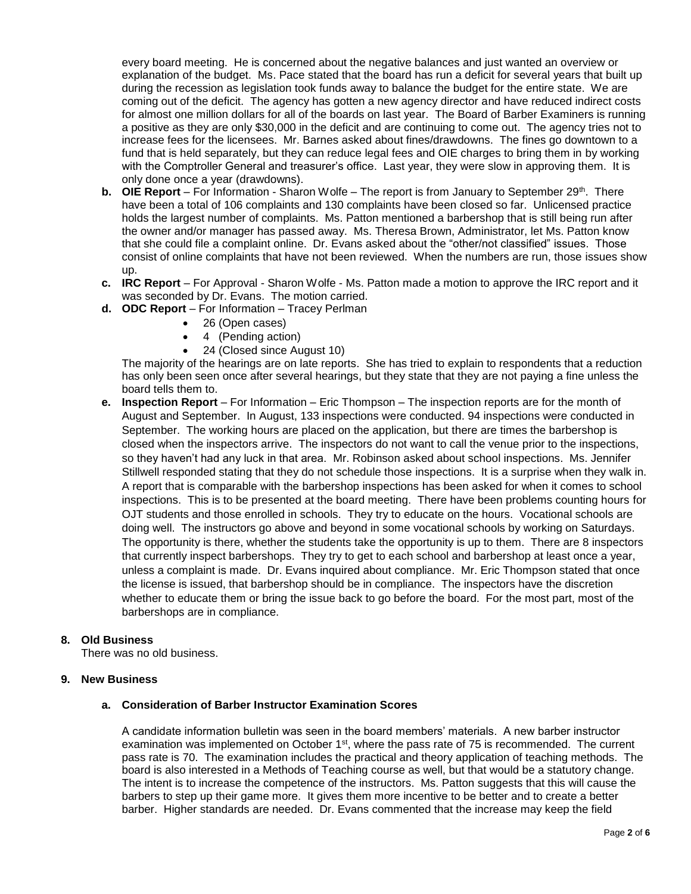every board meeting. He is concerned about the negative balances and just wanted an overview or explanation of the budget. Ms. Pace stated that the board has run a deficit for several years that built up during the recession as legislation took funds away to balance the budget for the entire state. We are coming out of the deficit. The agency has gotten a new agency director and have reduced indirect costs for almost one million dollars for all of the boards on last year. The Board of Barber Examiners is running a positive as they are only \$30,000 in the deficit and are continuing to come out. The agency tries not to increase fees for the licensees. Mr. Barnes asked about fines/drawdowns. The fines go downtown to a fund that is held separately, but they can reduce legal fees and OIE charges to bring them in by working with the Comptroller General and treasurer's office. Last year, they were slow in approving them. It is only done once a year (drawdowns).

- **b.** OIE Report For Information Sharon Wolfe The report is from January to September 29<sup>th</sup>. There have been a total of 106 complaints and 130 complaints have been closed so far. Unlicensed practice holds the largest number of complaints. Ms. Patton mentioned a barbershop that is still being run after the owner and/or manager has passed away. Ms. Theresa Brown, Administrator, let Ms. Patton know that she could file a complaint online. Dr. Evans asked about the "other/not classified" issues. Those consist of online complaints that have not been reviewed. When the numbers are run, those issues show up.
- **c. IRC Report**  For Approval Sharon Wolfe Ms. Patton made a motion to approve the IRC report and it was seconded by Dr. Evans. The motion carried.
- **d. ODC Report**  For Information Tracey Perlman
	- 26 (Open cases)
	- 4 (Pending action)
	- 24 (Closed since August 10)

The majority of the hearings are on late reports. She has tried to explain to respondents that a reduction has only been seen once after several hearings, but they state that they are not paying a fine unless the board tells them to.

**e. Inspection Report** – For Information – Eric Thompson – The inspection reports are for the month of August and September. In August, 133 inspections were conducted. 94 inspections were conducted in September. The working hours are placed on the application, but there are times the barbershop is closed when the inspectors arrive. The inspectors do not want to call the venue prior to the inspections, so they haven't had any luck in that area. Mr. Robinson asked about school inspections. Ms. Jennifer Stillwell responded stating that they do not schedule those inspections. It is a surprise when they walk in. A report that is comparable with the barbershop inspections has been asked for when it comes to school inspections. This is to be presented at the board meeting. There have been problems counting hours for OJT students and those enrolled in schools. They try to educate on the hours. Vocational schools are doing well. The instructors go above and beyond in some vocational schools by working on Saturdays. The opportunity is there, whether the students take the opportunity is up to them. There are 8 inspectors that currently inspect barbershops. They try to get to each school and barbershop at least once a year, unless a complaint is made. Dr. Evans inquired about compliance. Mr. Eric Thompson stated that once the license is issued, that barbershop should be in compliance. The inspectors have the discretion whether to educate them or bring the issue back to go before the board. For the most part, most of the barbershops are in compliance.

## **8. Old Business**

There was no old business.

## **9. New Business**

## **a. Consideration of Barber Instructor Examination Scores**

A candidate information bulletin was seen in the board members' materials. A new barber instructor examination was implemented on October 1<sup>st</sup>, where the pass rate of 75 is recommended. The current pass rate is 70. The examination includes the practical and theory application of teaching methods. The board is also interested in a Methods of Teaching course as well, but that would be a statutory change. The intent is to increase the competence of the instructors. Ms. Patton suggests that this will cause the barbers to step up their game more. It gives them more incentive to be better and to create a better barber. Higher standards are needed. Dr. Evans commented that the increase may keep the field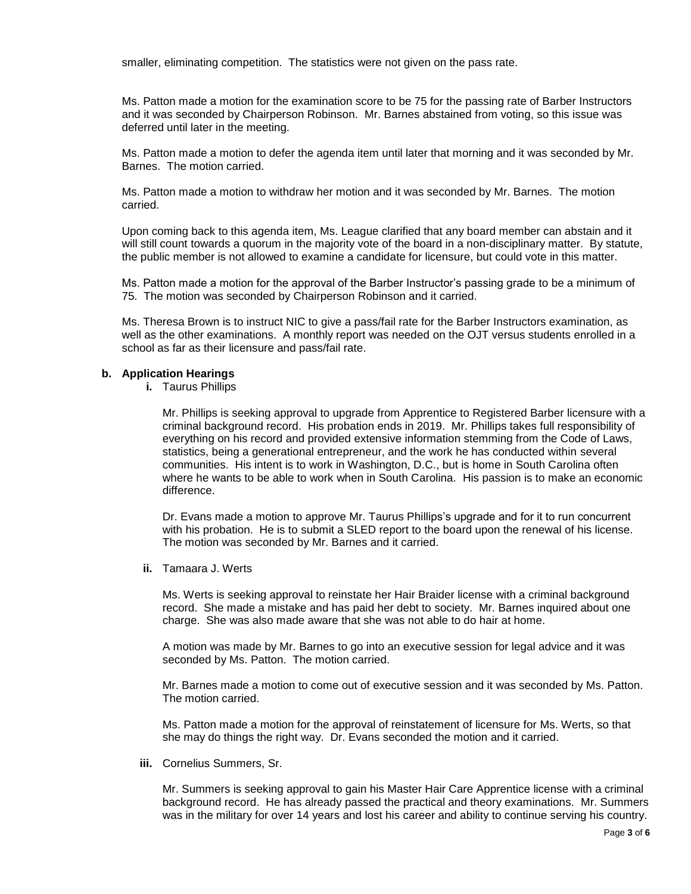smaller, eliminating competition. The statistics were not given on the pass rate.

Ms. Patton made a motion for the examination score to be 75 for the passing rate of Barber Instructors and it was seconded by Chairperson Robinson. Mr. Barnes abstained from voting, so this issue was deferred until later in the meeting.

Ms. Patton made a motion to defer the agenda item until later that morning and it was seconded by Mr. Barnes. The motion carried.

Ms. Patton made a motion to withdraw her motion and it was seconded by Mr. Barnes. The motion carried.

Upon coming back to this agenda item, Ms. League clarified that any board member can abstain and it will still count towards a quorum in the majority vote of the board in a non-disciplinary matter. By statute, the public member is not allowed to examine a candidate for licensure, but could vote in this matter.

Ms. Patton made a motion for the approval of the Barber Instructor's passing grade to be a minimum of 75. The motion was seconded by Chairperson Robinson and it carried.

Ms. Theresa Brown is to instruct NIC to give a pass/fail rate for the Barber Instructors examination, as well as the other examinations. A monthly report was needed on the OJT versus students enrolled in a school as far as their licensure and pass/fail rate.

## **b. Application Hearings**

**i.** Taurus Phillips

Mr. Phillips is seeking approval to upgrade from Apprentice to Registered Barber licensure with a criminal background record. His probation ends in 2019. Mr. Phillips takes full responsibility of everything on his record and provided extensive information stemming from the Code of Laws, statistics, being a generational entrepreneur, and the work he has conducted within several communities. His intent is to work in Washington, D.C., but is home in South Carolina often where he wants to be able to work when in South Carolina. His passion is to make an economic difference.

Dr. Evans made a motion to approve Mr. Taurus Phillips's upgrade and for it to run concurrent with his probation. He is to submit a SLED report to the board upon the renewal of his license. The motion was seconded by Mr. Barnes and it carried.

**ii.** Tamaara J. Werts

Ms. Werts is seeking approval to reinstate her Hair Braider license with a criminal background record. She made a mistake and has paid her debt to society. Mr. Barnes inquired about one charge. She was also made aware that she was not able to do hair at home.

A motion was made by Mr. Barnes to go into an executive session for legal advice and it was seconded by Ms. Patton. The motion carried.

Mr. Barnes made a motion to come out of executive session and it was seconded by Ms. Patton. The motion carried.

Ms. Patton made a motion for the approval of reinstatement of licensure for Ms. Werts, so that she may do things the right way. Dr. Evans seconded the motion and it carried.

**iii.** Cornelius Summers, Sr.

Mr. Summers is seeking approval to gain his Master Hair Care Apprentice license with a criminal background record. He has already passed the practical and theory examinations. Mr. Summers was in the military for over 14 years and lost his career and ability to continue serving his country.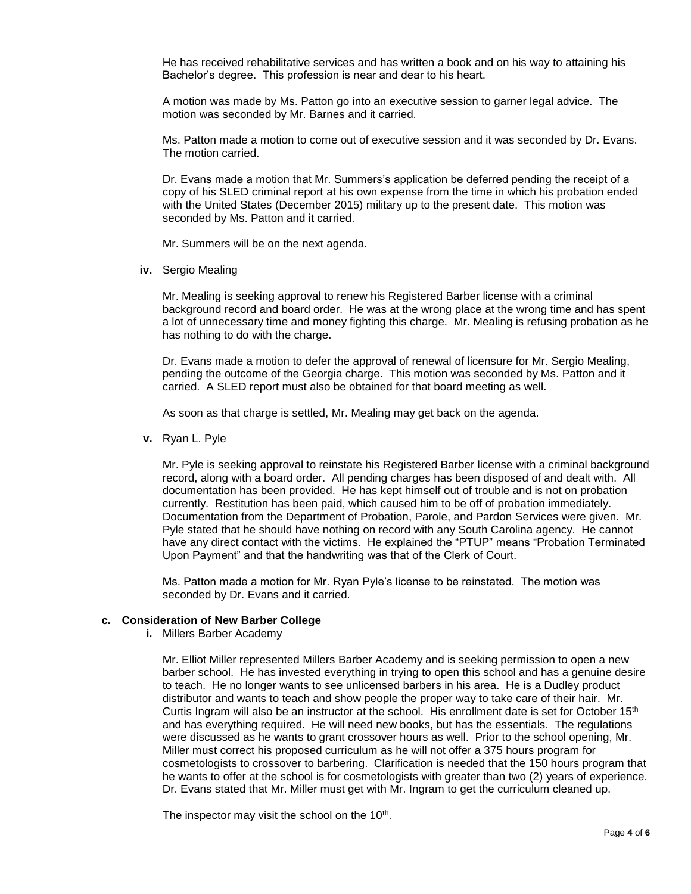He has received rehabilitative services and has written a book and on his way to attaining his Bachelor's degree. This profession is near and dear to his heart.

A motion was made by Ms. Patton go into an executive session to garner legal advice. The motion was seconded by Mr. Barnes and it carried.

Ms. Patton made a motion to come out of executive session and it was seconded by Dr. Evans. The motion carried.

Dr. Evans made a motion that Mr. Summers's application be deferred pending the receipt of a copy of his SLED criminal report at his own expense from the time in which his probation ended with the United States (December 2015) military up to the present date. This motion was seconded by Ms. Patton and it carried.

Mr. Summers will be on the next agenda.

**iv.** Sergio Mealing

Mr. Mealing is seeking approval to renew his Registered Barber license with a criminal background record and board order. He was at the wrong place at the wrong time and has spent a lot of unnecessary time and money fighting this charge. Mr. Mealing is refusing probation as he has nothing to do with the charge.

Dr. Evans made a motion to defer the approval of renewal of licensure for Mr. Sergio Mealing, pending the outcome of the Georgia charge. This motion was seconded by Ms. Patton and it carried. A SLED report must also be obtained for that board meeting as well.

As soon as that charge is settled, Mr. Mealing may get back on the agenda.

**v.** Ryan L. Pyle

Mr. Pyle is seeking approval to reinstate his Registered Barber license with a criminal background record, along with a board order. All pending charges has been disposed of and dealt with. All documentation has been provided. He has kept himself out of trouble and is not on probation currently. Restitution has been paid, which caused him to be off of probation immediately. Documentation from the Department of Probation, Parole, and Pardon Services were given. Mr. Pyle stated that he should have nothing on record with any South Carolina agency. He cannot have any direct contact with the victims. He explained the "PTUP" means "Probation Terminated Upon Payment" and that the handwriting was that of the Clerk of Court.

Ms. Patton made a motion for Mr. Ryan Pyle's license to be reinstated. The motion was seconded by Dr. Evans and it carried.

## **c. Consideration of New Barber College**

**i.** Millers Barber Academy

Mr. Elliot Miller represented Millers Barber Academy and is seeking permission to open a new barber school. He has invested everything in trying to open this school and has a genuine desire to teach. He no longer wants to see unlicensed barbers in his area. He is a Dudley product distributor and wants to teach and show people the proper way to take care of their hair. Mr. Curtis Ingram will also be an instructor at the school. His enrollment date is set for October 15<sup>th</sup> and has everything required. He will need new books, but has the essentials. The regulations were discussed as he wants to grant crossover hours as well. Prior to the school opening, Mr. Miller must correct his proposed curriculum as he will not offer a 375 hours program for cosmetologists to crossover to barbering. Clarification is needed that the 150 hours program that he wants to offer at the school is for cosmetologists with greater than two (2) years of experience. Dr. Evans stated that Mr. Miller must get with Mr. Ingram to get the curriculum cleaned up.

The inspector may visit the school on the 10<sup>th</sup>.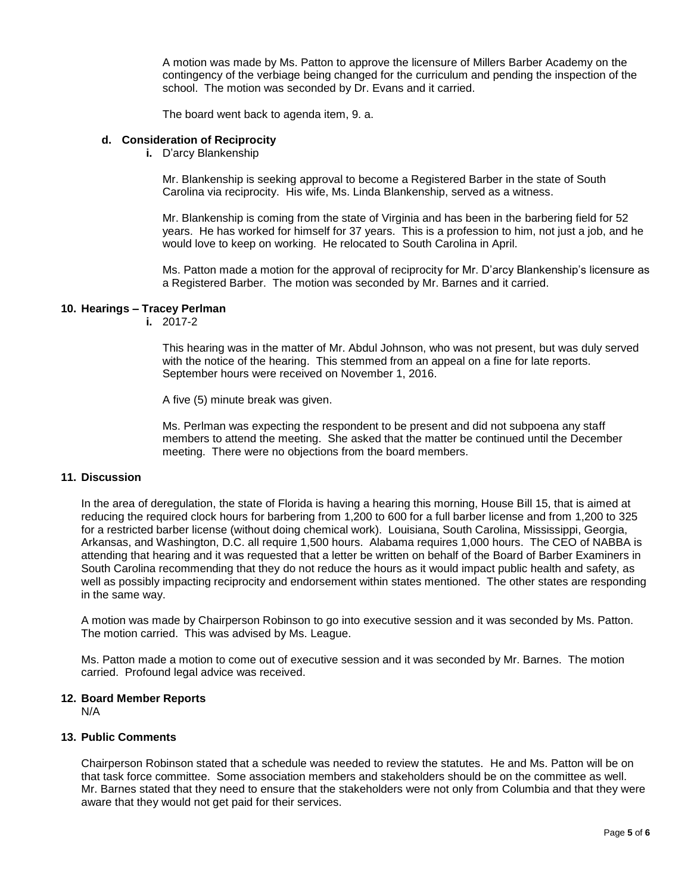A motion was made by Ms. Patton to approve the licensure of Millers Barber Academy on the contingency of the verbiage being changed for the curriculum and pending the inspection of the school. The motion was seconded by Dr. Evans and it carried.

The board went back to agenda item, 9. a.

#### **d. Consideration of Reciprocity**

**i.** D'arcy Blankenship

Mr. Blankenship is seeking approval to become a Registered Barber in the state of South Carolina via reciprocity. His wife, Ms. Linda Blankenship, served as a witness.

Mr. Blankenship is coming from the state of Virginia and has been in the barbering field for 52 years. He has worked for himself for 37 years. This is a profession to him, not just a job, and he would love to keep on working. He relocated to South Carolina in April.

Ms. Patton made a motion for the approval of reciprocity for Mr. D'arcy Blankenship's licensure as a Registered Barber. The motion was seconded by Mr. Barnes and it carried.

#### **10. Hearings – Tracey Perlman**

**i.** 2017-2

This hearing was in the matter of Mr. Abdul Johnson, who was not present, but was duly served with the notice of the hearing. This stemmed from an appeal on a fine for late reports. September hours were received on November 1, 2016.

A five (5) minute break was given.

Ms. Perlman was expecting the respondent to be present and did not subpoena any staff members to attend the meeting. She asked that the matter be continued until the December meeting. There were no objections from the board members.

# **11. Discussion**

In the area of deregulation, the state of Florida is having a hearing this morning, House Bill 15, that is aimed at reducing the required clock hours for barbering from 1,200 to 600 for a full barber license and from 1,200 to 325 for a restricted barber license (without doing chemical work). Louisiana, South Carolina, Mississippi, Georgia, Arkansas, and Washington, D.C. all require 1,500 hours. Alabama requires 1,000 hours. The CEO of NABBA is attending that hearing and it was requested that a letter be written on behalf of the Board of Barber Examiners in South Carolina recommending that they do not reduce the hours as it would impact public health and safety, as well as possibly impacting reciprocity and endorsement within states mentioned. The other states are responding in the same way.

A motion was made by Chairperson Robinson to go into executive session and it was seconded by Ms. Patton. The motion carried. This was advised by Ms. League.

Ms. Patton made a motion to come out of executive session and it was seconded by Mr. Barnes. The motion carried. Profound legal advice was received.

#### **12. Board Member Reports**

N/A

#### **13. Public Comments**

Chairperson Robinson stated that a schedule was needed to review the statutes. He and Ms. Patton will be on that task force committee. Some association members and stakeholders should be on the committee as well. Mr. Barnes stated that they need to ensure that the stakeholders were not only from Columbia and that they were aware that they would not get paid for their services.